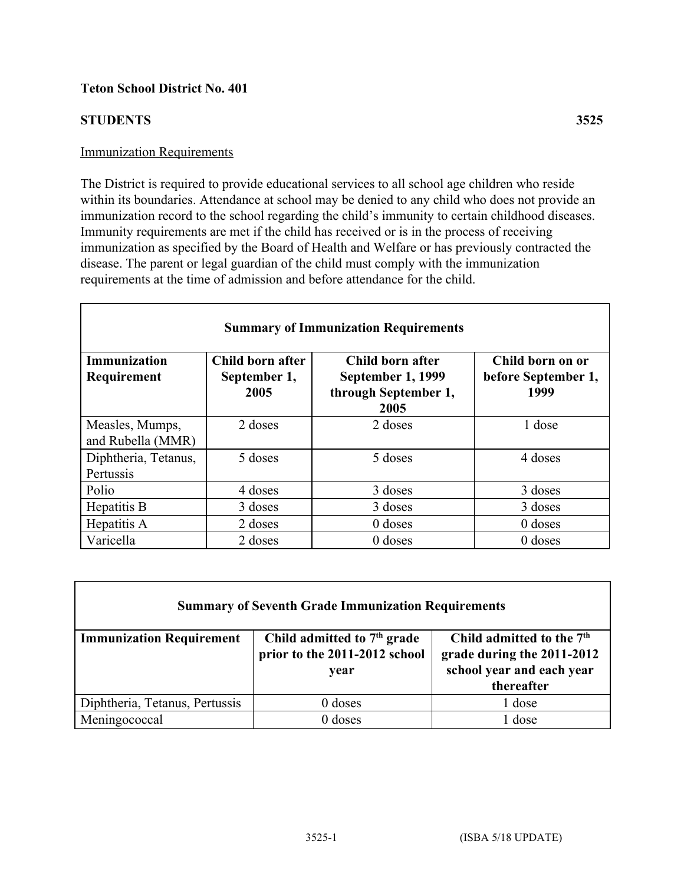## **Teton School District No. 401**

#### **STUDENTS 3525**

#### Immunization Requirements

The District is required to provide educational services to all school age children who reside within its boundaries. Attendance at school may be denied to any child who does not provide an immunization record to the school regarding the child's immunity to certain childhood diseases. Immunity requirements are met if the child has received or is in the process of receiving immunization as specified by the Board of Health and Welfare or has previously contracted the disease. The parent or legal guardian of the child must comply with the immunization requirements at the time of admission and before attendance for the child.

| <b>Summary of Immunization Requirements</b> |                                          |                                                                       |                                                 |  |
|---------------------------------------------|------------------------------------------|-----------------------------------------------------------------------|-------------------------------------------------|--|
| <b>Immunization</b><br>Requirement          | Child born after<br>September 1,<br>2005 | Child born after<br>September 1, 1999<br>through September 1,<br>2005 | Child born on or<br>before September 1,<br>1999 |  |
| Measles, Mumps,<br>and Rubella (MMR)        | 2 doses                                  | 2 doses                                                               | 1 dose                                          |  |
| Diphtheria, Tetanus,<br>Pertussis           | 5 doses                                  | 5 doses                                                               | 4 doses                                         |  |
| Polio                                       | 4 doses                                  | 3 doses                                                               | 3 doses                                         |  |
| Hepatitis B                                 | 3 doses                                  | 3 doses                                                               | 3 doses                                         |  |
| Hepatitis A                                 | 2 doses                                  | $0$ doses                                                             | $0$ doses                                       |  |
| Varicella                                   | 2 doses                                  | $0$ doses                                                             | $0$ doses                                       |  |

| <b>Summary of Seventh Grade Immunization Requirements</b> |                                                                        |                                                                                                                |  |
|-----------------------------------------------------------|------------------------------------------------------------------------|----------------------------------------------------------------------------------------------------------------|--|
| <b>Immunization Requirement</b>                           | Child admitted to $7th$ grade<br>prior to the 2011-2012 school<br>year | Child admitted to the 7 <sup>th</sup><br>grade during the 2011-2012<br>school year and each year<br>thereafter |  |
| Diphtheria, Tetanus, Pertussis                            | $0$ doses                                                              | 1 dose                                                                                                         |  |
| Meningococcal                                             | $0$ doses                                                              | $\sqrt{1}$ dose                                                                                                |  |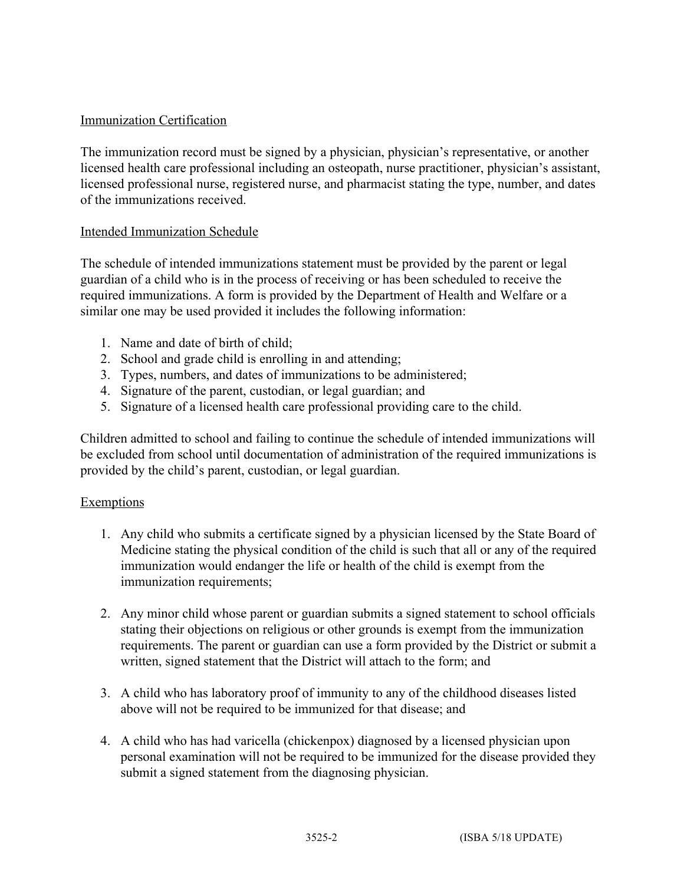## Immunization Certification

The immunization record must be signed by a physician, physician's representative, or another licensed health care professional including an osteopath, nurse practitioner, physician's assistant, licensed professional nurse, registered nurse, and pharmacist stating the type, number, and dates of the immunizations received.

#### Intended Immunization Schedule

The schedule of intended immunizations statement must be provided by the parent or legal guardian of a child who is in the process of receiving or has been scheduled to receive the required immunizations. A form is provided by the Department of Health and Welfare or a similar one may be used provided it includes the following information:

- 1. Name and date of birth of child;
- 2. School and grade child is enrolling in and attending;
- 3. Types, numbers, and dates of immunizations to be administered;
- 4. Signature of the parent, custodian, or legal guardian; and
- 5. Signature of a licensed health care professional providing care to the child.

Children admitted to school and failing to continue the schedule of intended immunizations will be excluded from school until documentation of administration of the required immunizations is provided by the child's parent, custodian, or legal guardian.

## **Exemptions**

- 1. Any child who submits a certificate signed by a physician licensed by the State Board of Medicine stating the physical condition of the child is such that all or any of the required immunization would endanger the life or health of the child is exempt from the immunization requirements;
- 2. Any minor child whose parent or guardian submits a signed statement to school officials stating their objections on religious or other grounds is exempt from the immunization requirements. The parent or guardian can use a form provided by the District or submit a written, signed statement that the District will attach to the form; and
- 3. A child who has laboratory proof of immunity to any of the childhood diseases listed above will not be required to be immunized for that disease; and
- 4. A child who has had varicella (chickenpox) diagnosed by a licensed physician upon personal examination will not be required to be immunized for the disease provided they submit a signed statement from the diagnosing physician.